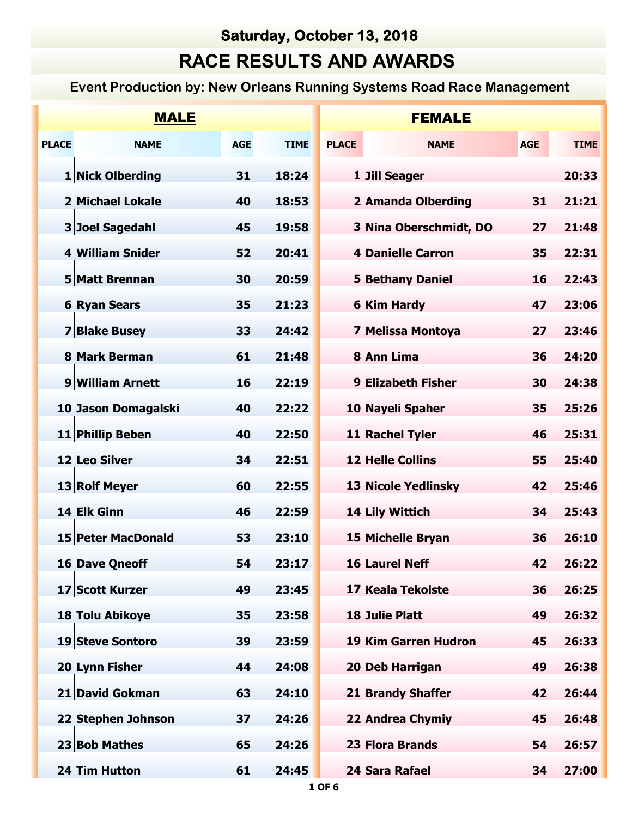## **Saturday, October 13, 2018**

## **RACE RESULTS AND AWARDS**

## **Event Production by: New Orleans Running Systems Road Race Management**

| <b>MALE</b>  |                         |            |             |              | <b>FEMALE</b>           |            |             |  |  |
|--------------|-------------------------|------------|-------------|--------------|-------------------------|------------|-------------|--|--|
| <b>PLACE</b> | <b>NAME</b>             | <b>AGE</b> | <b>TIME</b> | <b>PLACE</b> | <b>NAME</b>             | <b>AGE</b> | <b>TIME</b> |  |  |
|              | 1 Nick Olberding        | 31         | 18:24       |              | 1 Jill Seager           |            | 20:33       |  |  |
|              | <b>2 Michael Lokale</b> | 40         | 18:53       |              | 2 Amanda Olberding      | 31         | 21:21       |  |  |
|              | 3 Joel Sagedahl         | 45         | 19:58       |              | 3 Nina Oberschmidt, DO  | 27         | 21:48       |  |  |
|              | <b>4 William Snider</b> | 52         | 20:41       |              | 4 Danielle Carron       | 35         | 22:31       |  |  |
|              | 5 Matt Brennan          | 30         | 20:59       |              | <b>5 Bethany Daniel</b> | 16         | 22:43       |  |  |
|              | <b>6 Ryan Sears</b>     | 35         | 21:23       |              | <b>6 Kim Hardy</b>      | 47         | 23:06       |  |  |
|              | <b>7 Blake Busey</b>    | 33         | 24:42       |              | 7 Melissa Montoya       | 27         | 23:46       |  |  |
|              | 8 Mark Berman           | 61         | 21:48       |              | 8 Ann Lima              | 36         | 24:20       |  |  |
|              | 9 William Arnett        | 16         | 22:19       |              | 9 Elizabeth Fisher      | 30         | 24:38       |  |  |
|              | 10 Jason Domagalski     | 40         | 22:22       |              | 10 Nayeli Spaher        | 35         | 25:26       |  |  |
|              | 11 Phillip Beben        | 40         | 22:50       |              | 11 Rachel Tyler         | 46         | 25:31       |  |  |
|              | 12 Leo Silver           | 34         | 22:51       |              | 12 Helle Collins        | 55         | 25:40       |  |  |
|              | 13 Rolf Meyer           | 60         | 22:55       |              | 13 Nicole Yedlinsky     | 42         | 25:46       |  |  |
|              | 14 Elk Ginn             | 46         | 22:59       |              | 14 Lily Wittich         | 34         | 25:43       |  |  |
|              | 15 Peter MacDonald      | 53         | 23:10       |              | 15 Michelle Bryan       | 36         | 26:10       |  |  |
|              | <b>16 Dave Qneoff</b>   | 54         | 23:17       |              | 16 Laurel Neff          | 42         | 26:22       |  |  |
|              | 17 Scott Kurzer         | 49         | 23:45       |              | 17 Keala Tekolste       | 36         | 26:25       |  |  |
|              | <b>18 Tolu Abikoye</b>  | 35         | 23:58       |              | 18 Julie Platt          | 49         | 26:32       |  |  |
|              | 19 Steve Sontoro        | 39         | 23:59       |              | 19 Kim Garren Hudron    | 45         | 26:33       |  |  |
|              | 20 Lynn Fisher          | 44         | 24:08       |              | 20 Deb Harrigan         | 49         | 26:38       |  |  |
|              | 21 David Gokman         | 63         | 24:10       |              | 21 Brandy Shaffer       | 42         | 26:44       |  |  |
|              | 22 Stephen Johnson      | 37         | 24:26       |              | 22 Andrea Chymiy        | 45         | 26:48       |  |  |
|              | 23 Bob Mathes           | 65         | 24:26       |              | 23 Flora Brands         | 54         | 26:57       |  |  |
|              | 24 Tim Hutton           | 61         | 24:45       |              | 24 Sara Rafael          | 34         | 27:00       |  |  |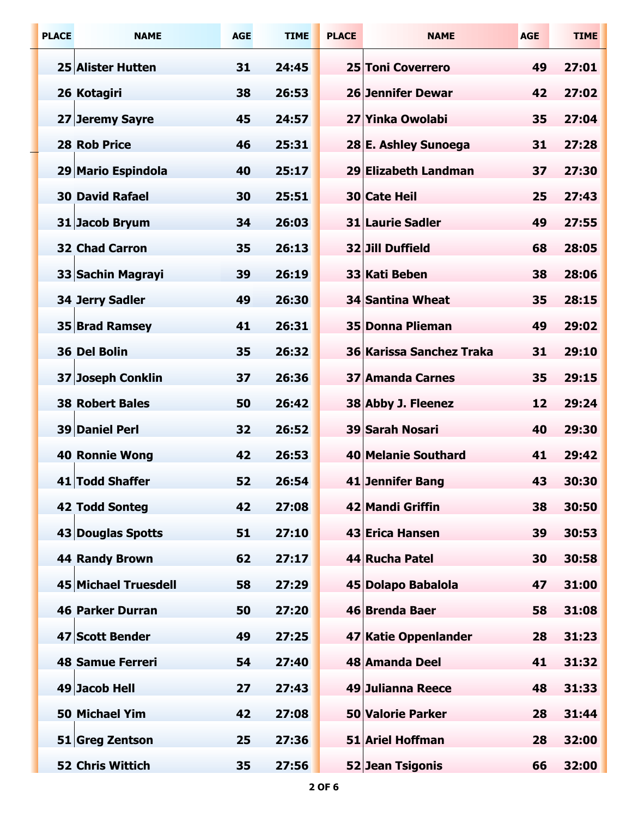| <b>PLACE</b> | <b>NAME</b>             | <b>AGE</b> | <b>TIME</b> | <b>PLACE</b> | <b>NAME</b>              | <b>AGE</b> | <b>TIME</b> |
|--------------|-------------------------|------------|-------------|--------------|--------------------------|------------|-------------|
|              | 25 Alister Hutten       | 31         | 24:45       |              | 25 Toni Coverrero        | 49         | 27:01       |
|              | 26 Kotagiri             | 38         | 26:53       |              | <b>26 Jennifer Dewar</b> | 42         | 27:02       |
|              | 27 Jeremy Sayre         | 45         | 24:57       |              | 27 Yinka Owolabi         | 35         | 27:04       |
|              | <b>28 Rob Price</b>     | 46         | 25:31       |              | 28 E. Ashley Sunoega     | 31         | 27:28       |
|              | 29 Mario Espindola      | 40         | 25:17       |              | 29 Elizabeth Landman     | 37         | 27:30       |
|              | <b>30 David Rafael</b>  | 30         | 25:51       |              | <b>30 Cate Heil</b>      | 25         | 27:43       |
|              | 31 Jacob Bryum          | 34         | 26:03       |              | <b>31 Laurie Sadler</b>  | 49         | 27:55       |
|              | <b>32 Chad Carron</b>   | 35         | 26:13       |              | 32 Jill Duffield         | 68         | 28:05       |
|              | 33 Sachin Magrayi       | 39         | 26:19       |              | 33 Kati Beben            | 38         | 28:06       |
|              | <b>34 Jerry Sadler</b>  | 49         | 26:30       |              | 34 Santina Wheat         | 35         | 28:15       |
|              | 35 Brad Ramsey          | 41         | 26:31       |              | 35 Donna Plieman         | 49         | 29:02       |
|              | 36 Del Bolin            | 35         | 26:32       |              | 36 Karissa Sanchez Traka | 31         | 29:10       |
|              | 37 Joseph Conklin       | 37         | 26:36       |              | <b>37 Amanda Carnes</b>  | 35         | 29:15       |
|              | <b>38 Robert Bales</b>  | 50         | 26:42       |              | 38 Abby J. Fleenez       | 12         | 29:24       |
|              | 39 Daniel Perl          | 32         | 26:52       |              | 39 Sarah Nosari          | 40         | 29:30       |
|              | <b>40 Ronnie Wong</b>   | 42         | 26:53       |              | 40 Melanie Southard      | 41         | 29:42       |
|              | 41 Todd Shaffer         | 52         | 26:54       |              | 41 Jennifer Bang         | 43         | 30:30       |
|              | <b>42 Todd Sonteg</b>   | 42         | 27:08       |              | 42 Mandi Griffin         | 38         | 30:50       |
|              | 43 Douglas Spotts       | 51         | 27:10       |              | 43 Erica Hansen          | 39         | 30:53       |
|              | <b>44 Randy Brown</b>   | 62         | 27:17       |              | 44 Rucha Patel           | 30         | 30:58       |
|              | 45 Michael Truesdell    | 58         | 27:29       |              | 45 Dolapo Babalola       | 47         | 31:00       |
|              | <b>46 Parker Durran</b> | 50         | 27:20       |              | 46 Brenda Baer           | 58         | 31:08       |
|              | 47 Scott Bender         | 49         | 27:25       |              | 47 Katie Oppenlander     | 28         | 31:23       |
|              | <b>48 Samue Ferreri</b> | 54         | 27:40       |              | 48 Amanda Deel           | 41         | 31:32       |
|              | 49 Jacob Hell           | 27         | 27:43       |              | 49 Julianna Reece        | 48         | 31:33       |
|              | <b>50 Michael Yim</b>   | 42         | 27:08       |              | <b>50 Valorie Parker</b> | 28         | 31:44       |
|              | 51 Greg Zentson         | 25         | 27:36       |              | 51 Ariel Hoffman         | 28         | 32:00       |
|              | <b>52 Chris Wittich</b> | 35         | 27:56       |              | 52 Jean Tsigonis         | 66         | 32:00       |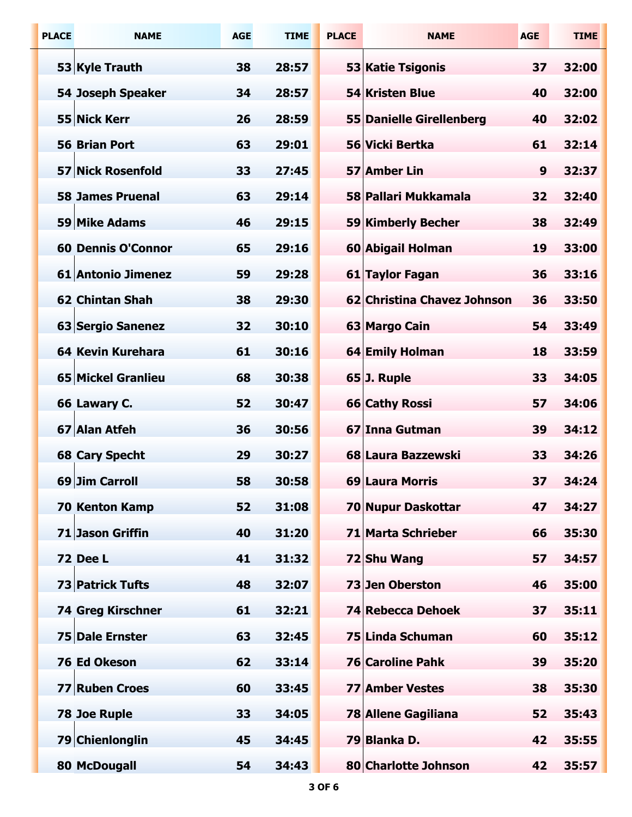| <b>PLACE</b> | <b>NAME</b>               | <b>AGE</b> | <b>TIME</b> | <b>PLACE</b> | <b>NAME</b>                     | <b>AGE</b> | <b>TIME</b> |
|--------------|---------------------------|------------|-------------|--------------|---------------------------------|------------|-------------|
|              | 53 Kyle Trauth            | 38         | 28:57       |              | 53 Katie Tsigonis               | 37         | 32:00       |
|              | 54 Joseph Speaker         | 34         | 28:57       |              | 54 Kristen Blue                 | 40         | 32:00       |
|              | 55 Nick Kerr              | 26         | 28:59       |              | <b>55 Danielle Girellenberg</b> | 40         | 32:02       |
|              | <b>56 Brian Port</b>      | 63         | 29:01       |              | 56 Vicki Bertka                 | 61         | 32:14       |
|              | 57 Nick Rosenfold         | 33         | 27:45       |              | 57 Amber Lin                    | 9          | 32:37       |
|              | <b>58 James Pruenal</b>   | 63         | 29:14       |              | 58 Pallari Mukkamala            | 32         | 32:40       |
|              | 59 Mike Adams             | 46         | 29:15       |              | 59 Kimberly Becher              | 38         | 32:49       |
|              | <b>60 Dennis O'Connor</b> | 65         | 29:16       |              | 60 Abigail Holman               | 19         | 33:00       |
|              | 61 Antonio Jimenez        | 59         | 29:28       |              | 61 Taylor Fagan                 | 36         | 33:16       |
|              | <b>62 Chintan Shah</b>    | 38         | 29:30       |              | 62 Christina Chavez Johnson     | 36         | 33:50       |
|              | 63 Sergio Sanenez         | 32         | 30:10       |              | 63 Margo Cain                   | 54         | 33:49       |
|              | <b>64 Kevin Kurehara</b>  | 61         | 30:16       |              | 64 Emily Holman                 | 18         | 33:59       |
|              | 65 Mickel Granlieu        | 68         | 30:38       |              | 65 J. Ruple                     | 33         | 34:05       |
|              | 66 Lawary C.              | 52         | 30:47       |              | 66 Cathy Rossi                  | 57         | 34:06       |
|              | 67 Alan Atfeh             | 36         | 30:56       |              | 67 Inna Gutman                  | 39         | 34:12       |
|              | <b>68 Cary Specht</b>     | 29         | 30:27       |              | 68 Laura Bazzewski              | 33         | 34:26       |
|              | 69 Jim Carroll            | 58         | 30:58       |              | 69 Laura Morris                 | 37         | 34:24       |
|              | <b>70 Kenton Kamp</b>     | 52         | 31:08       |              | 70 Nupur Daskottar              | 47         | 34:27       |
|              | 71 Jason Griffin          | 40         | 31:20       |              | 71 Marta Schrieber              | 66         | 35:30       |
|              | <b>72 Dee L</b>           | 41         | 31:32       |              | 72 Shu Wang                     | 57         | 34:57       |
|              | 73 Patrick Tufts          | 48         | 32:07       |              | 73 Jen Oberston                 | 46         | 35:00       |
|              | <b>74 Greg Kirschner</b>  | 61         | 32:21       |              | 74 Rebecca Dehoek               | 37         | 35:11       |
|              | 75 Dale Ernster           | 63         | 32:45       |              | 75 Linda Schuman                | 60         | 35:12       |
|              | 76 Ed Okeson              | 62         | 33:14       |              | <b>76 Caroline Pahk</b>         | 39         | 35:20       |
|              | 77 Ruben Croes            | 60         | 33:45       |              | <b>77 Amber Vestes</b>          | 38         | 35:30       |
|              | <b>78 Joe Ruple</b>       | 33         | 34:05       |              | 78 Allene Gagiliana             | 52         | 35:43       |
|              | 79 Chienlonglin           | 45         | 34:45       |              | 79 Blanka D.                    | 42         | 35:55       |
|              | 80 McDougall              | 54         | 34:43       |              | 80 Charlotte Johnson            | 42         | 35:57       |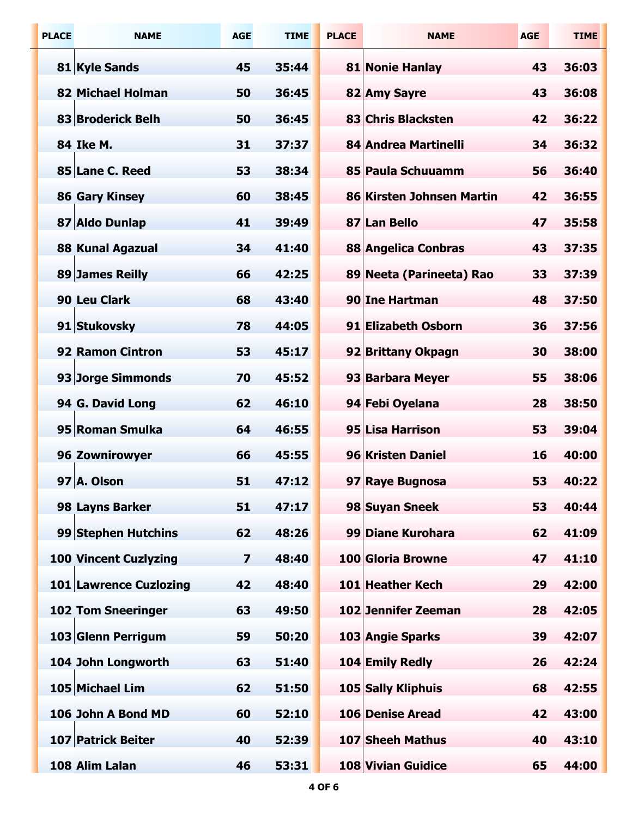| <b>PLACE</b> | <b>NAME</b>                  | <b>AGE</b>              | <b>TIME</b> | <b>PLACE</b> | <b>NAME</b>               | <b>AGE</b> | <b>TIME</b> |
|--------------|------------------------------|-------------------------|-------------|--------------|---------------------------|------------|-------------|
|              | 81 Kyle Sands                | 45                      | 35:44       |              | 81 Nonie Hanlay           | 43         | 36:03       |
|              | <b>82 Michael Holman</b>     | 50                      | 36:45       |              | 82 Amy Sayre              | 43         | 36:08       |
|              | 83 Broderick Belh            | 50                      | 36:45       |              | 83 Chris Blacksten        | 42         | 36:22       |
|              | 84 Ike M.                    | 31                      | 37:37       |              | 84 Andrea Martinelli      | 34         | 36:32       |
|              | 85 Lane C. Reed              | 53                      | 38:34       |              | 85 Paula Schuuamm         | 56         | 36:40       |
|              | <b>86 Gary Kinsey</b>        | 60                      | 38:45       |              | 86 Kirsten Johnsen Martin | 42         | 36:55       |
|              | 87 Aldo Dunlap               | 41                      | 39:49       |              | 87 Lan Bello              | 47         | 35:58       |
|              | <b>88 Kunal Agazual</b>      | 34                      | 41:40       |              | 88 Angelica Conbras       | 43         | 37:35       |
|              | 89 James Reilly              | 66                      | 42:25       |              | 89 Neeta (Parineeta) Rao  | 33         | 37:39       |
|              | 90 Leu Clark                 | 68                      | 43:40       |              | 90 Ine Hartman            | 48         | 37:50       |
|              | 91 Stukovsky                 | 78                      | 44:05       |              | 91 Elizabeth Osborn       | 36         | 37:56       |
|              | 92 Ramon Cintron             | 53                      | 45:17       |              | 92 Brittany Okpagn        | 30         | 38:00       |
|              | 93 Jorge Simmonds            | 70                      | 45:52       |              | 93 Barbara Meyer          | 55         | 38:06       |
|              | 94 G. David Long             | 62                      | 46:10       |              | 94 Febi Oyelana           | 28         | 38:50       |
|              | 95 Roman Smulka              | 64                      | 46:55       |              | 95 Lisa Harrison          | 53         | 39:04       |
|              | <b>96 Zownirowyer</b>        | 66                      | 45:55       |              | 96 Kristen Daniel         | 16         | 40:00       |
|              | 97 A. Olson                  | 51                      | 47:12       |              | 97 Raye Bugnosa           | 53         | 40:22       |
|              | 98 Layns Barker              | 51                      | 47:17       |              | 98 Suyan Sneek            | 53         | 40:44       |
|              | 99 Stephen Hutchins          | 62                      | 48:26       |              | 99 Diane Kurohara         | 62         | 41:09       |
|              | <b>100 Vincent Cuzlyzing</b> | $\overline{\mathbf{z}}$ | 48:40       |              | 100 Gloria Browne         | 47         | 41:10       |
|              | 101 Lawrence Cuzlozing       | 42                      | 48:40       |              | 101 Heather Kech          | 29         | 42:00       |
|              | <b>102 Tom Sneeringer</b>    | 63                      | 49:50       |              | 102 Jennifer Zeeman       | 28         | 42:05       |
|              | 103 Glenn Perrigum           | 59                      | 50:20       |              | 103 Angie Sparks          | 39         | 42:07       |
|              | 104 John Longworth           | 63                      | 51:40       |              | 104 Emily Redly           | 26         | 42:24       |
|              | 105 Michael Lim              | 62                      | 51:50       |              | 105 Sally Kliphuis        | 68         | 42:55       |
|              | 106 John A Bond MD           | 60                      | 52:10       |              | <b>106 Denise Aread</b>   | 42         | 43:00       |
|              | 107 Patrick Beiter           | 40                      | 52:39       |              | 107 Sheeh Mathus          | 40         | 43:10       |
|              | 108 Alim Lalan               | 46                      | 53:31       |              | 108 Vivian Guidice        | 65         | 44:00       |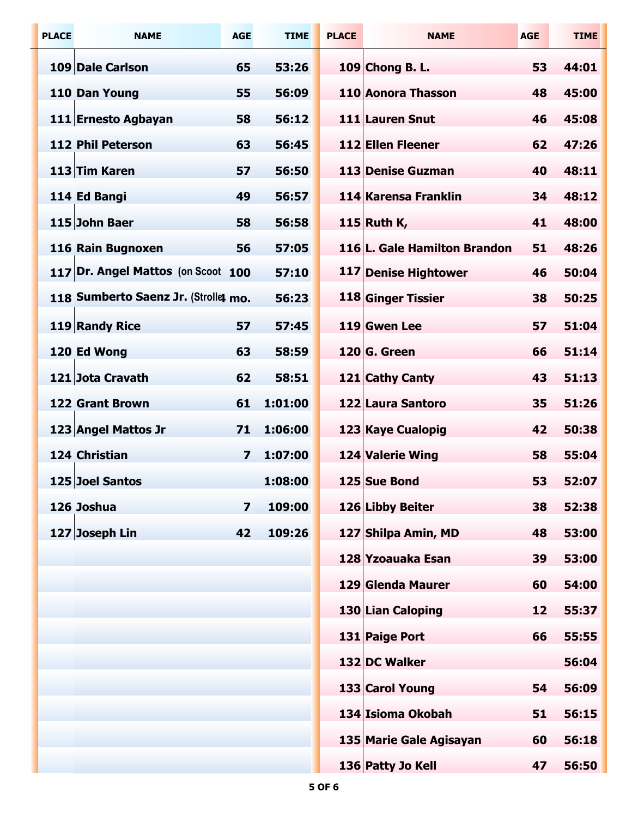| <b>PLACE</b> | <b>NAME</b>                          | <b>AGE</b>              | <b>TIME</b> | <b>PLACE</b> | <b>NAME</b>                  | <b>AGE</b> | <b>TIME</b> |
|--------------|--------------------------------------|-------------------------|-------------|--------------|------------------------------|------------|-------------|
|              | 109 Dale Carlson                     | 65                      | 53:26       |              | 109 Chong B. L.              | 53         | 44:01       |
|              | 110 Dan Young                        | 55                      | 56:09       |              | 110 Aonora Thasson           | 48         | 45:00       |
|              | 111 Ernesto Agbayan                  | 58                      | 56:12       |              | 111 Lauren Snut              | 46         | 45:08       |
|              | 112 Phil Peterson                    | 63                      | 56:45       |              | 112 Ellen Fleener            | 62         | 47:26       |
|              | 113 Tim Karen                        | 57                      | 56:50       |              | 113 Denise Guzman            | 40         | 48:11       |
|              | 114 Ed Bangi                         | 49                      | 56:57       |              | 114 Karensa Franklin         | 34         | 48:12       |
|              | 115 John Baer                        | 58                      | 56:58       |              | 115 Ruth K,                  | 41         | 48:00       |
|              | 116 Rain Bugnoxen                    | 56                      | 57:05       |              | 116 L. Gale Hamilton Brandon | 51         | 48:26       |
|              | 117 Dr. Angel Mattos (on Scoot 100   |                         | 57:10       |              | 117 Denise Hightower         | 46         | 50:04       |
|              | 118 Sumberto Saenz Jr. (Strolle4 mo. |                         | 56:23       |              | 118 Ginger Tissier           | 38         | 50:25       |
|              | 119 Randy Rice                       | 57                      | 57:45       |              | 119 Gwen Lee                 | 57         | 51:04       |
|              | 120 Ed Wong                          | 63                      | 58:59       |              | $120 G.$ Green               | 66         | 51:14       |
|              | 121 Jota Cravath                     | 62                      | 58:51       |              | 121 Cathy Canty              | 43         | 51:13       |
|              | <b>122 Grant Brown</b>               | 61                      | 1:01:00     |              | 122 Laura Santoro            | 35         | 51:26       |
|              | 123 Angel Mattos Jr                  | 71                      | 1:06:00     |              | 123 Kaye Cualopig            | 42         | 50:38       |
|              | 124 Christian                        | 7                       | 1:07:00     |              | 124 Valerie Wing             | 58         | 55:04       |
|              | 125 Joel Santos                      |                         | 1:08:00     |              | 125 Sue Bond                 | 53         | 52:07       |
|              | 126 Joshua                           | $\overline{\mathbf{z}}$ | 109:00      |              | 126 Libby Beiter             | 38         | 52:38       |
|              | 127 Joseph Lin                       | 42                      | 109:26      |              | 127 Shilpa Amin, MD          | 48         | 53:00       |
|              |                                      |                         |             |              | 128 Yzoauaka Esan            | 39         | 53:00       |
|              |                                      |                         |             |              | 129 Glenda Maurer            | 60         | 54:00       |
|              |                                      |                         |             |              | 130 Lian Caloping            | 12         | 55:37       |
|              |                                      |                         |             |              | 131 Paige Port               | 66         | 55:55       |
|              |                                      |                         |             |              | 132 DC Walker                |            | 56:04       |
|              |                                      |                         |             |              | 133 Carol Young              | 54         | 56:09       |
|              |                                      |                         |             |              | 134 Isioma Okobah            | 51         | 56:15       |
|              |                                      |                         |             |              | 135 Marie Gale Agisayan      | 60         | 56:18       |
|              |                                      |                         |             |              | 136 Patty Jo Kell            | 47         | 56:50       |